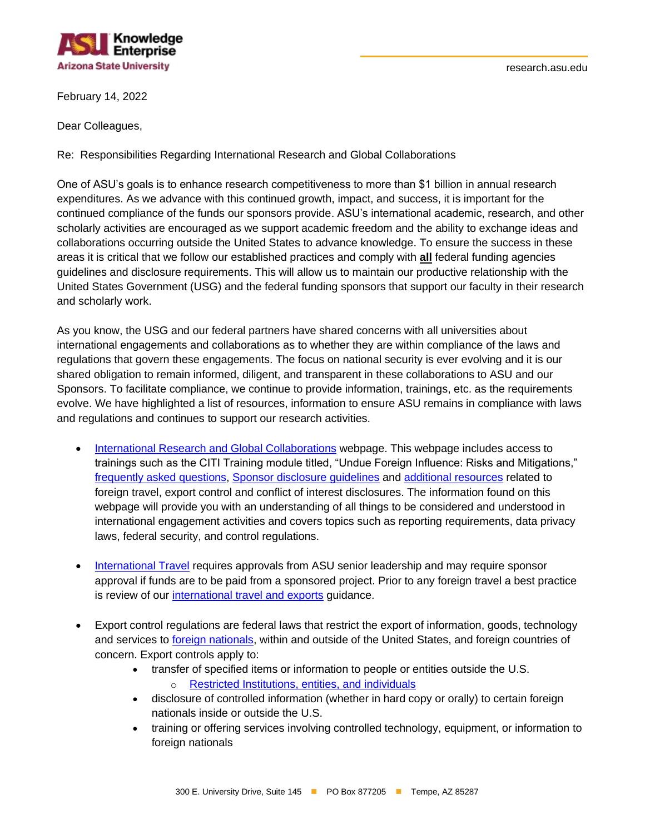

February 14, 2022

Dear Colleagues,

Re: Responsibilities Regarding International Research and Global Collaborations

One of ASU's goals is to enhance research competitiveness to more than \$1 billion in annual research expenditures. As we advance with this continued growth, impact, and success, it is important for the continued compliance of the funds our sponsors provide. ASU's international academic, research, and other scholarly activities are encouraged as we support academic freedom and the ability to exchange ideas and collaborations occurring outside the United States to advance knowledge. To ensure the success in these areas it is critical that we follow our established practices and comply with **all** federal funding agencies guidelines and disclosure requirements. This will allow us to maintain our productive relationship with the United States Government (USG) and the federal funding sponsors that support our faculty in their research and scholarly work.

As you know, the USG and our federal partners have shared concerns with all universities about international engagements and collaborations as to whether they are within compliance of the laws and regulations that govern these engagements. The focus on national security is ever evolving and it is our shared obligation to remain informed, diligent, and transparent in these collaborations to ASU and our Sponsors. To facilitate compliance, we continue to provide information, trainings, etc. as the requirements evolve. We have highlighted a list of resources, information to ensure ASU remains in compliance with laws and regulations and continues to support our research activities.

- International Research [and Global Collaborations](https://researchadmin.asu.edu/international-research-and-global-collaborations) webpage. This webpage includes access to trainings such as the CITI Training module titled, "Undue Foreign Influence: Risks and Mitigations," [frequently asked questions,](https://researchadmin.asu.edu/international-research-and-global-collaborations/faqs) [Sponsor disclosure guidelines](https://researchadmin.asu.edu/international-research-and-global-collaborations/sponsor-guidelines) and [additional resources](https://researchadmin.asu.edu/international-research-and-global-collaborations/related-resources) related to foreign travel, export control and conflict of interest disclosures. The information found on this webpage will provide you with an understanding of all things to be considered and understood in international engagement activities and covers topics such as reporting requirements, data privacy laws, federal security, and control regulations.
- [International Travel](https://cfo.asu.edu/international-travel) requires approvals from ASU senior leadership and may require sponsor approval if funds are to be paid from a sponsored project. Prior to any foreign travel a best practice is review of our [international travel and exports](https://researchintegrity.asu.edu/export-controls-and-security/international-collaborations-and-travel) guidance.
- Export control regulations are federal laws that restrict the export of information, goods, technology and services to [foreign nationals,](https://researchadmin.asu.edu/acronyms-and-glossary#F) within and outside of the United States, and foreign countries of concern. Export controls apply to:
	- transfer of specified items or information to people or entities outside the U.S.
		- o [Restricted Institutions, entities,](https://home.treasury.gov/policy-issues/financial-sanctions/specially-designated-nationals-and-blocked-persons-list-sdn-human-readable-lists) and individuals
	- disclosure of controlled information (whether in hard copy or orally) to certain foreign nationals inside or outside the U.S.
	- training or offering services involving controlled technology, equipment, or information to foreign nationals